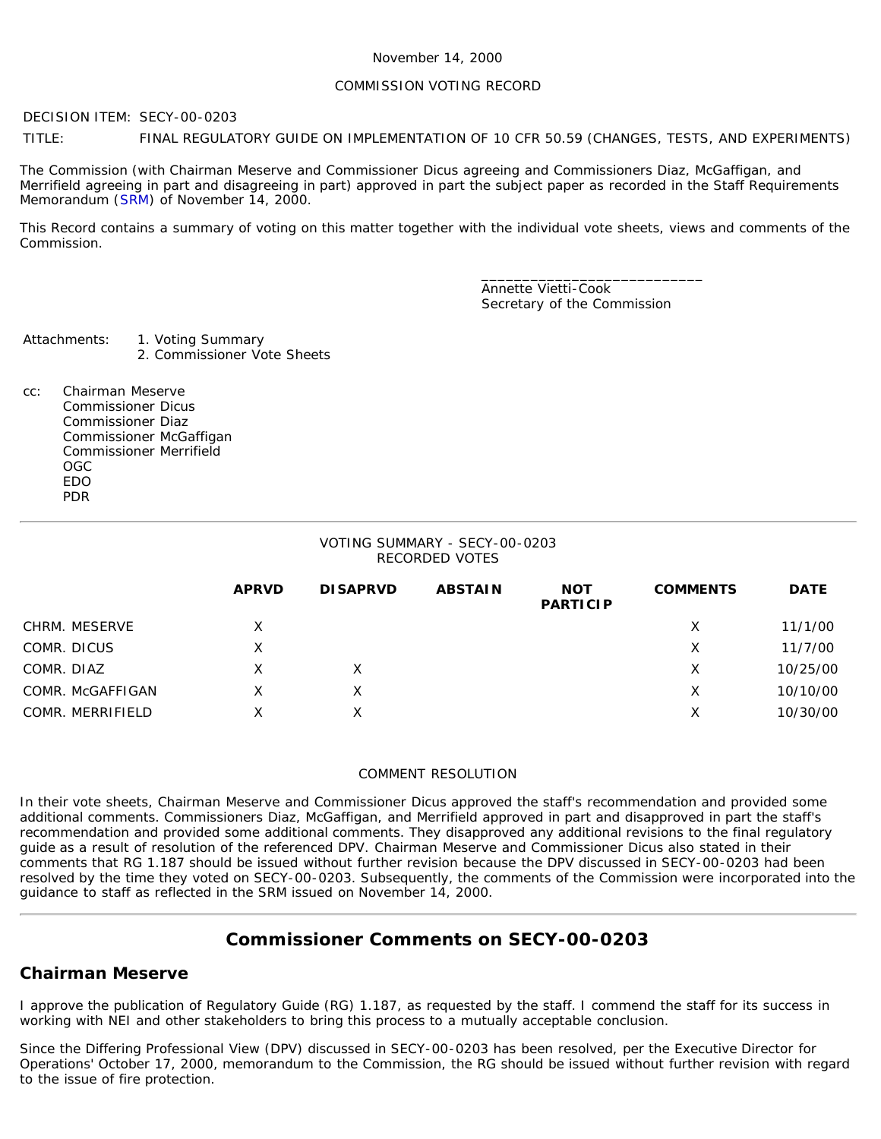#### COMMISSION VOTING RECORD

DECISION ITEM: SECY-00-0203

TITLE: FINAL REGULATORY GUIDE ON IMPLEMENTATION OF 10 CFR 50.59 (CHANGES, TESTS, AND EXPERIMENTS)

The Commission (with Chairman Meserve and Commissioner Dicus agreeing and Commissioners Diaz, McGaffigan, and Merrifield agreeing in part and disagreeing in part) approved in part the subject paper as recorded in the Staff Requirements Memorandum ([SRM\)](http://www.nrc.gov/reading-rm/doc-collections/commission/srm/2000/2000-0203srm.html) of November 14, 2000.

This Record contains a summary of voting on this matter together with the individual vote sheets, views and comments of the Commission.

> \_\_\_\_\_\_\_\_\_\_\_\_\_\_\_\_\_\_\_\_\_\_\_\_\_\_\_ Annette Vietti-Cook Secretary of the Commission

Attachments: 1. Voting Summary

- 2. Commissioner Vote Sheets
- cc: Chairman Meserve Commissioner Dicus Commissioner Diaz Commissioner McGaffigan Commissioner Merrifield OGC EDO PDR

#### VOTING SUMMARY - SECY-00-0203 RECORDED VOTES

|                  | <b>APRVD</b> | <b>DISAPRVD</b> | <b>ABSTAIN</b> | <b>NOT</b><br><b>PARTICIP</b> | <b>COMMENTS</b> | <b>DATE</b> |
|------------------|--------------|-----------------|----------------|-------------------------------|-----------------|-------------|
| CHRM. MESERVE    | X            |                 |                |                               | х               | 11/1/00     |
| COMR. DICUS      | Χ            |                 |                |                               | х               | 11/7/00     |
| COMR. DIAZ       | х            |                 |                |                               | х               | 10/25/00    |
| COMR. McGAFFIGAN |              |                 |                |                               | Х               | 10/10/00    |
| COMR. MERRIFIELD | Χ            |                 |                |                               | х               | 10/30/00    |

#### COMMENT RESOLUTION

In their vote sheets, Chairman Meserve and Commissioner Dicus approved the staff's recommendation and provided some additional comments. Commissioners Diaz, McGaffigan, and Merrifield approved in part and disapproved in part the staff's recommendation and provided some additional comments. They disapproved any additional revisions to the final regulatory guide as a result of resolution of the referenced DPV. Chairman Meserve and Commissioner Dicus also stated in their comments that RG 1.187 should be issued without further revision because the DPV discussed in SECY-00-0203 had been resolved by the time they voted on SECY-00-0203. Subsequently, the comments of the Commission were incorporated into the guidance to staff as reflected in the SRM issued on November 14, 2000.

# **Commissioner Comments on SECY-00-0203**

### **Chairman Meserve**

I approve the publication of Regulatory Guide (RG) 1.187, as requested by the staff. I commend the staff for its success in working with NEI and other stakeholders to bring this process to a mutually acceptable conclusion.

Since the Differing Professional View (DPV) discussed in SECY-00-0203 has been resolved, per the Executive Director for Operations' October 17, 2000, memorandum to the Commission, the RG should be issued without further revision with regard to the issue of fire protection.